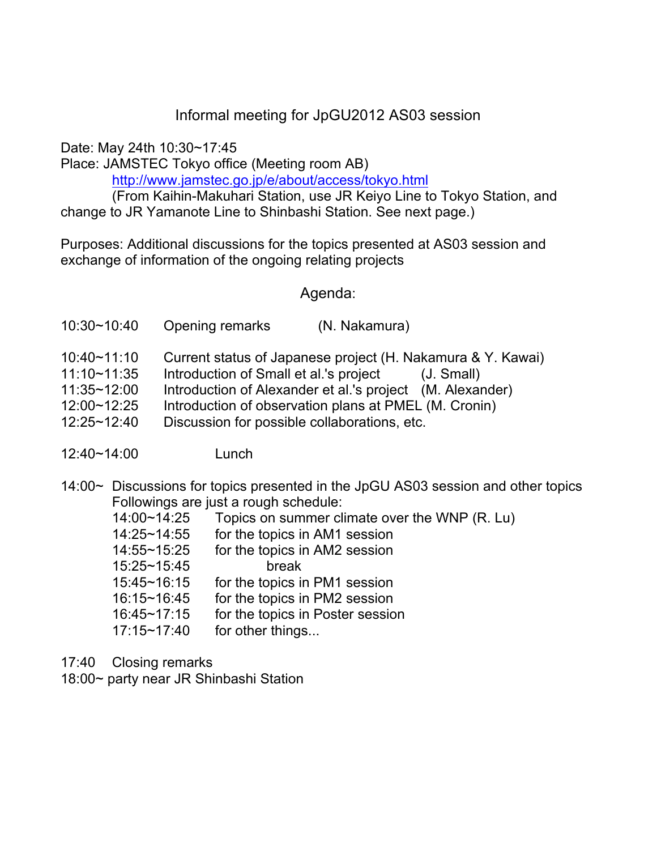## Informal meeting for JpGU2012 AS03 session

Date: May 24th 10:30~17:45

Place: JAMSTEC Tokyo office (Meeting room AB)

http://www.jamstec.go.jp/e/about/access/tokyo.html

(From Kaihin-Makuhari Station, use JR Keiyo Line to Tokyo Station, and change to JR Yamanote Line to Shinbashi Station. See next page.)

Purposes: Additional discussions for the topics presented at AS03 session and exchange of information of the ongoing relating projects

## Agenda:

| 10:30~10:40 | Opening remarks | (N. Nakamura) |
|-------------|-----------------|---------------|
|-------------|-----------------|---------------|

- 10:40~11:10 Current status of Japanese project (H. Nakamura & Y. Kawai)
- 11:10~11:35 Introduction of Small et al.'s project (J. Small)
- 11:35~12:00 Introduction of Alexander et al.'s project (M. Alexander)
- 12:00~12:25 Introduction of observation plans at PMEL (M. Cronin)
- 12:25~12:40 Discussion for possible collaborations, etc.
- 12:40~14:00 Lunch
- 14:00~ Discussions for topics presented in the JpGU AS03 session and other topics Followings are just a rough schedule:

| 14:00~14:25 | Topics on summer climate over the WNP (R. Lu) |
|-------------|-----------------------------------------------|
| 14:25~14:55 | for the topics in AM1 session                 |
| 14:55~15:25 | for the topics in AM2 session                 |
| 15:25~15:45 | break                                         |
| 15:45~16:15 | for the topics in PM1 session                 |
| 16:15~16:45 | for the topics in PM2 session                 |
| 16:45~17:15 | for the topics in Poster session              |
| 17:15~17:40 | for other things                              |
|             |                                               |

17:40 Closing remarks

18:00~ party near JR Shinbashi Station